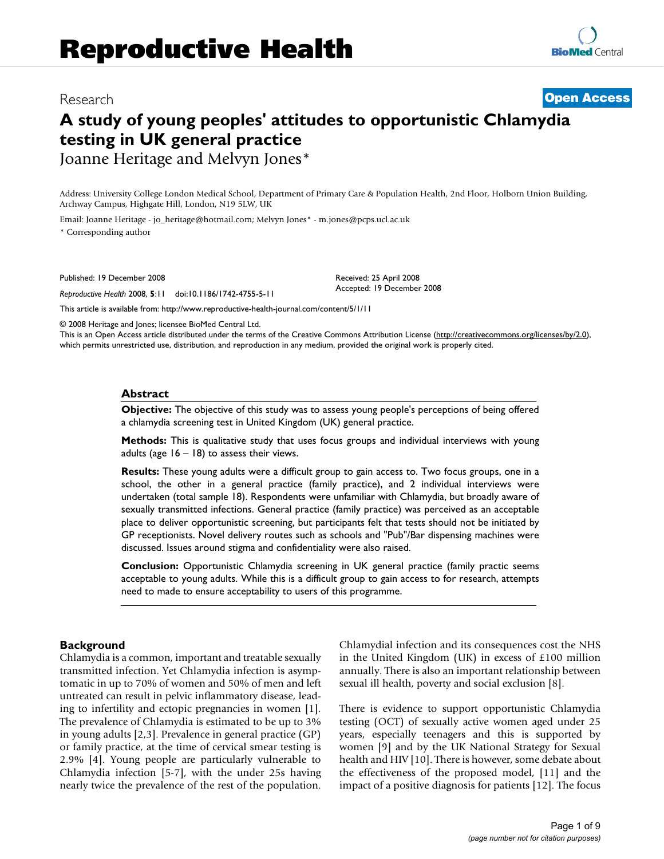# Research **[Open Access](http://www.biomedcentral.com/info/about/charter/)**

# **A study of young peoples' attitudes to opportunistic Chlamydia testing in UK general practice** Joanne Heritage and Melvyn Jones\*

Address: University College London Medical School, Department of Primary Care & Population Health, 2nd Floor, Holborn Union Building, Archway Campus, Highgate Hill, London, N19 5LW, UK

Email: Joanne Heritage - jo\_heritage@hotmail.com; Melvyn Jones\* - m.jones@pcps.ucl.ac.uk

\* Corresponding author

Published: 19 December 2008

*Reproductive Health* 2008, **5**:11 doi:10.1186/1742-4755-5-11

Received: 25 April 2008 Accepted: 19 December 2008

[This article is available from: http://www.reproductive-health-journal.com/content/5/1/11](http://www.reproductive-health-journal.com/content/5/1/11)

© 2008 Heritage and Jones; licensee BioMed Central Ltd.

This is an Open Access article distributed under the terms of the Creative Commons Attribution License [\(http://creativecommons.org/licenses/by/2.0\)](http://creativecommons.org/licenses/by/2.0), which permits unrestricted use, distribution, and reproduction in any medium, provided the original work is properly cited.

#### **Abstract**

**Objective:** The objective of this study was to assess young people's perceptions of being offered a chlamydia screening test in United Kingdom (UK) general practice.

**Methods:** This is qualitative study that uses focus groups and individual interviews with young adults (age  $16 - 18$ ) to assess their views.

**Results:** These young adults were a difficult group to gain access to. Two focus groups, one in a school, the other in a general practice (family practice), and 2 individual interviews were undertaken (total sample 18). Respondents were unfamiliar with Chlamydia, but broadly aware of sexually transmitted infections. General practice (family practice) was perceived as an acceptable place to deliver opportunistic screening, but participants felt that tests should not be initiated by GP receptionists. Novel delivery routes such as schools and "Pub"/Bar dispensing machines were discussed. Issues around stigma and confidentiality were also raised.

**Conclusion:** Opportunistic Chlamydia screening in UK general practice (family practic seems acceptable to young adults. While this is a difficult group to gain access to for research, attempts need to made to ensure acceptability to users of this programme.

#### **Background**

Chlamydia is a common, important and treatable sexually transmitted infection. Yet Chlamydia infection is asymptomatic in up to 70% of women and 50% of men and left untreated can result in pelvic inflammatory disease, leading to infertility and ectopic pregnancies in women [1]. The prevalence of Chlamydia is estimated to be up to 3% in young adults [2,3]. Prevalence in general practice (GP) or family practice, at the time of cervical smear testing is 2.9% [4]. Young people are particularly vulnerable to Chlamydia infection [5-7], with the under 25s having nearly twice the prevalence of the rest of the population. Chlamydial infection and its consequences cost the NHS in the United Kingdom (UK) in excess of £100 million annually. There is also an important relationship between sexual ill health, poverty and social exclusion [8].

There is evidence to support opportunistic Chlamydia testing (OCT) of sexually active women aged under 25 years, especially teenagers and this is supported by women [9] and by the UK National Strategy for Sexual health and HIV [10]. There is however, some debate about the effectiveness of the proposed model, [11] and the impact of a positive diagnosis for patients [12]. The focus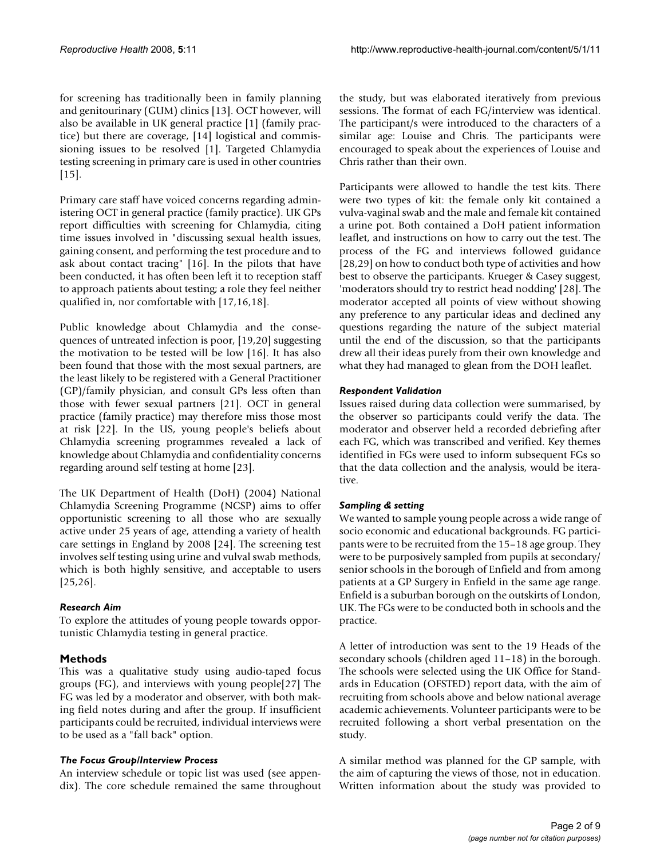for screening has traditionally been in family planning and genitourinary (GUM) clinics [13]. OCT however, will also be available in UK general practice [1] (family practice) but there are coverage, [14] logistical and commissioning issues to be resolved [1]. Targeted Chlamydia testing screening in primary care is used in other countries [15].

Primary care staff have voiced concerns regarding administering OCT in general practice (family practice). UK GPs report difficulties with screening for Chlamydia, citing time issues involved in "discussing sexual health issues, gaining consent, and performing the test procedure and to ask about contact tracing" [16]. In the pilots that have been conducted, it has often been left it to reception staff to approach patients about testing; a role they feel neither qualified in, nor comfortable with [17,16,18].

Public knowledge about Chlamydia and the consequences of untreated infection is poor, [19,20] suggesting the motivation to be tested will be low [16]. It has also been found that those with the most sexual partners, are the least likely to be registered with a General Practitioner (GP)/family physician, and consult GPs less often than those with fewer sexual partners [21]. OCT in general practice (family practice) may therefore miss those most at risk [22]. In the US, young people's beliefs about Chlamydia screening programmes revealed a lack of knowledge about Chlamydia and confidentiality concerns regarding around self testing at home [23].

The UK Department of Health (DoH) (2004) National Chlamydia Screening Programme (NCSP) aims to offer opportunistic screening to all those who are sexually active under 25 years of age, attending a variety of health care settings in England by 2008 [24]. The screening test involves self testing using urine and vulval swab methods, which is both highly sensitive, and acceptable to users [25,26].

# *Research Aim*

To explore the attitudes of young people towards opportunistic Chlamydia testing in general practice.

# **Methods**

This was a qualitative study using audio-taped focus groups (FG), and interviews with young people[27] The FG was led by a moderator and observer, with both making field notes during and after the group. If insufficient participants could be recruited, individual interviews were to be used as a "fall back" option.

# *The Focus Group/Interview Process*

An interview schedule or topic list was used (see appendix). The core schedule remained the same throughout

the study, but was elaborated iteratively from previous sessions. The format of each FG/interview was identical. The participant/s were introduced to the characters of a similar age: Louise and Chris. The participants were encouraged to speak about the experiences of Louise and Chris rather than their own.

Participants were allowed to handle the test kits. There were two types of kit: the female only kit contained a vulva-vaginal swab and the male and female kit contained a urine pot. Both contained a DoH patient information leaflet, and instructions on how to carry out the test. The process of the FG and interviews followed guidance [28,29] on how to conduct both type of activities and how best to observe the participants. Krueger & Casey suggest, 'moderators should try to restrict head nodding' [28]. The moderator accepted all points of view without showing any preference to any particular ideas and declined any questions regarding the nature of the subject material until the end of the discussion, so that the participants drew all their ideas purely from their own knowledge and what they had managed to glean from the DOH leaflet.

# *Respondent Validation*

Issues raised during data collection were summarised, by the observer so participants could verify the data. The moderator and observer held a recorded debriefing after each FG, which was transcribed and verified. Key themes identified in FGs were used to inform subsequent FGs so that the data collection and the analysis, would be iterative.

# *Sampling & setting*

We wanted to sample young people across a wide range of socio economic and educational backgrounds. FG participants were to be recruited from the 15–18 age group. They were to be purposively sampled from pupils at secondary/ senior schools in the borough of Enfield and from among patients at a GP Surgery in Enfield in the same age range. Enfield is a suburban borough on the outskirts of London, UK. The FGs were to be conducted both in schools and the practice.

A letter of introduction was sent to the 19 Heads of the secondary schools (children aged 11–18) in the borough. The schools were selected using the UK Office for Standards in Education (OFSTED) report data, with the aim of recruiting from schools above and below national average academic achievements. Volunteer participants were to be recruited following a short verbal presentation on the study.

A similar method was planned for the GP sample, with the aim of capturing the views of those, not in education. Written information about the study was provided to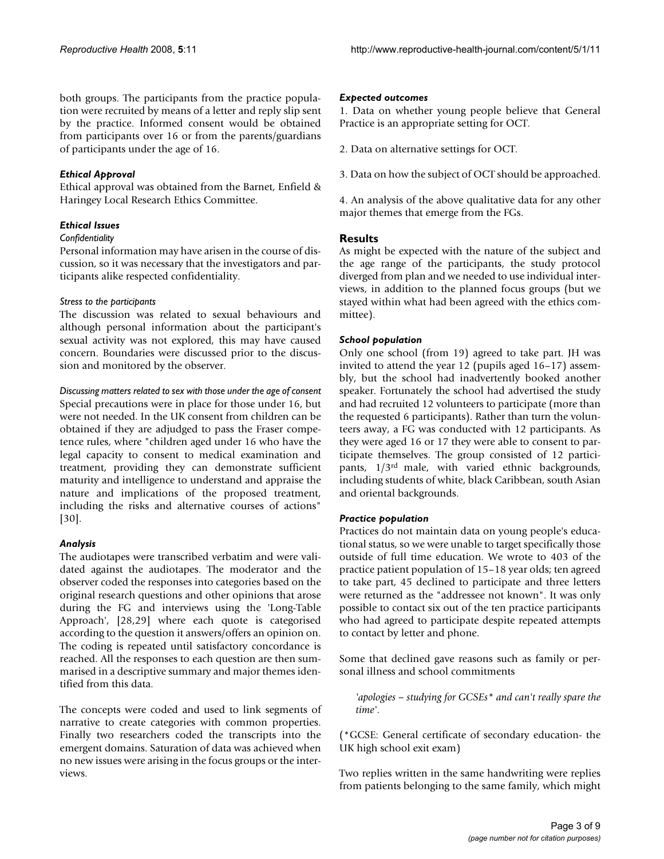both groups. The participants from the practice population were recruited by means of a letter and reply slip sent by the practice. Informed consent would be obtained from participants over 16 or from the parents/guardians of participants under the age of 16.

### *Ethical Approval*

Ethical approval was obtained from the Barnet, Enfield & Haringey Local Research Ethics Committee.

#### *Ethical Issues*

### *Confidentiality*

Personal information may have arisen in the course of discussion, so it was necessary that the investigators and participants alike respected confidentiality.

#### *Stress to the participants*

The discussion was related to sexual behaviours and although personal information about the participant's sexual activity was not explored, this may have caused concern. Boundaries were discussed prior to the discussion and monitored by the observer.

*Discussing matters related to sex with those under the age of consent* Special precautions were in place for those under 16, but were not needed. In the UK consent from children can be obtained if they are adjudged to pass the Fraser competence rules, where "children aged under 16 who have the legal capacity to consent to medical examination and treatment, providing they can demonstrate sufficient maturity and intelligence to understand and appraise the nature and implications of the proposed treatment, including the risks and alternative courses of actions" [30].

#### *Analysis*

The audiotapes were transcribed verbatim and were validated against the audiotapes. The moderator and the observer coded the responses into categories based on the original research questions and other opinions that arose during the FG and interviews using the 'Long-Table Approach', [28,29] where each quote is categorised according to the question it answers/offers an opinion on. The coding is repeated until satisfactory concordance is reached. All the responses to each question are then summarised in a descriptive summary and major themes identified from this data.

The concepts were coded and used to link segments of narrative to create categories with common properties. Finally two researchers coded the transcripts into the emergent domains. Saturation of data was achieved when no new issues were arising in the focus groups or the interviews.

#### *Expected outcomes*

1. Data on whether young people believe that General Practice is an appropriate setting for OCT.

2. Data on alternative settings for OCT.

3. Data on how the subject of OCT should be approached.

4. An analysis of the above qualitative data for any other major themes that emerge from the FGs.

#### **Results**

As might be expected with the nature of the subject and the age range of the participants, the study protocol diverged from plan and we needed to use individual interviews, in addition to the planned focus groups (but we stayed within what had been agreed with the ethics committee).

#### *School population*

Only one school (from 19) agreed to take part. JH was invited to attend the year 12 (pupils aged 16–17) assembly, but the school had inadvertently booked another speaker. Fortunately the school had advertised the study and had recruited 12 volunteers to participate (more than the requested 6 participants). Rather than turn the volunteers away, a FG was conducted with 12 participants. As they were aged 16 or 17 they were able to consent to participate themselves. The group consisted of 12 participants, 1/3rd male, with varied ethnic backgrounds, including students of white, black Caribbean, south Asian and oriental backgrounds.

#### *Practice population*

Practices do not maintain data on young people's educational status, so we were unable to target specifically those outside of full time education. We wrote to 403 of the practice patient population of 15–18 year olds; ten agreed to take part, 45 declined to participate and three letters were returned as the "addressee not known". It was only possible to contact six out of the ten practice participants who had agreed to participate despite repeated attempts to contact by letter and phone.

Some that declined gave reasons such as family or personal illness and school commitments

*'apologies – studying for GCSEs\* and can't really spare the time'*.

(\*GCSE: General certificate of secondary education- the UK high school exit exam)

Two replies written in the same handwriting were replies from patients belonging to the same family, which might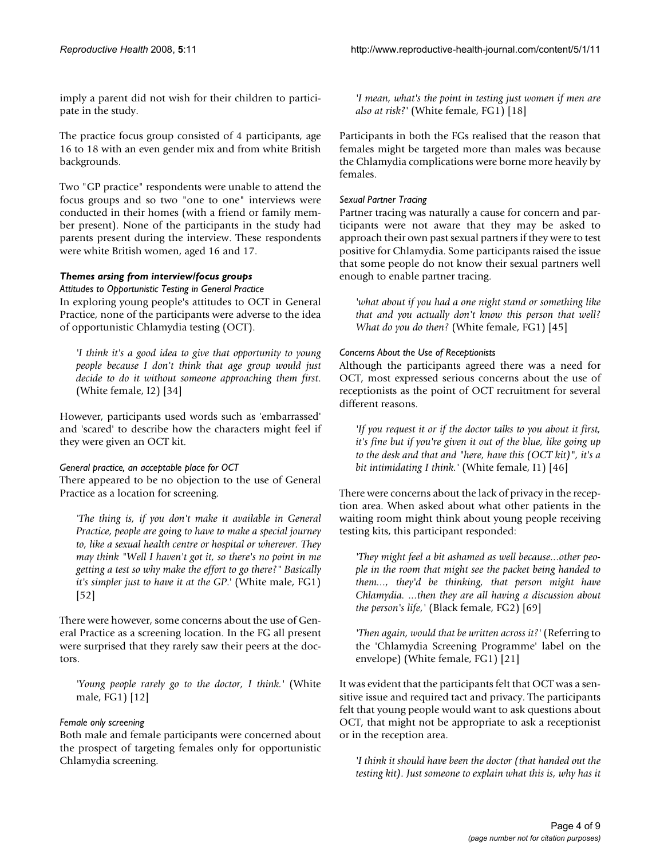imply a parent did not wish for their children to participate in the study.

The practice focus group consisted of 4 participants, age 16 to 18 with an even gender mix and from white British backgrounds.

Two "GP practice" respondents were unable to attend the focus groups and so two "one to one" interviews were conducted in their homes (with a friend or family member present). None of the participants in the study had parents present during the interview. These respondents were white British women, aged 16 and 17.

## *Themes arsing from interview/focus groups*

*Attitudes to Opportunistic Testing in General Practice*

In exploring young people's attitudes to OCT in General Practice, none of the participants were adverse to the idea of opportunistic Chlamydia testing (OCT).

*'I think it's a good idea to give that opportunity to young people because I don't think that age group would just decide to do it without someone approaching them first*. (White female, I2) [34]

However, participants used words such as 'embarrassed' and 'scared' to describe how the characters might feel if they were given an OCT kit.

*General practice, an acceptable place for OCT*

There appeared to be no objection to the use of General Practice as a location for screening.

*'The thing is, if you don't make it available in General Practice, people are going to have to make a special journey to, like a sexual health centre or hospital or wherever. They may think "Well I haven't got it, so there's no point in me getting a test so why make the effort to go there?" Basically it's simpler just to have it at the GP*.' (White male, FG1) [52]

There were however, some concerns about the use of General Practice as a screening location. In the FG all present were surprised that they rarely saw their peers at the doctors.

*'Young people rarely go to the doctor, I think.'* (White male, FG1) [12]

## *Female only screening*

Both male and female participants were concerned about the prospect of targeting females only for opportunistic Chlamydia screening.

*'I mean, what's the point in testing just women if men are also at risk?'* (White female, FG1) [18]

Participants in both the FGs realised that the reason that females might be targeted more than males was because the Chlamydia complications were borne more heavily by females.

## *Sexual Partner Tracing*

Partner tracing was naturally a cause for concern and participants were not aware that they may be asked to approach their own past sexual partners if they were to test positive for Chlamydia. Some participants raised the issue that some people do not know their sexual partners well enough to enable partner tracing.

*'what about if you had a one night stand or something like that and you actually don't know this person that well? What do you do then?* (White female, FG1) [45]

## *Concerns About the Use of Receptionists*

Although the participants agreed there was a need for OCT, most expressed serious concerns about the use of receptionists as the point of OCT recruitment for several different reasons.

*'If you request it or if the doctor talks to you about it first, it's fine but if you're given it out of the blue, like going up to the desk and that and "here, have this (OCT kit)", it's a bit intimidating I think.'* (White female, I1) [46]

There were concerns about the lack of privacy in the reception area. When asked about what other patients in the waiting room might think about young people receiving testing kits, this participant responded:

*'They might feel a bit ashamed as well because...other people in the room that might see the packet being handed to them..., they'd be thinking, that person might have Chlamydia. ...then they are all having a discussion about the person's life,'* (Black female, FG2) [69]

*'Then again, would that be written across it?'* (Referring to the 'Chlamydia Screening Programme' label on the envelope) (White female, FG1) [21]

It was evident that the participants felt that OCT was a sensitive issue and required tact and privacy. The participants felt that young people would want to ask questions about OCT, that might not be appropriate to ask a receptionist or in the reception area.

*'I think it should have been the doctor (that handed out the testing kit). Just someone to explain what this is, why has it*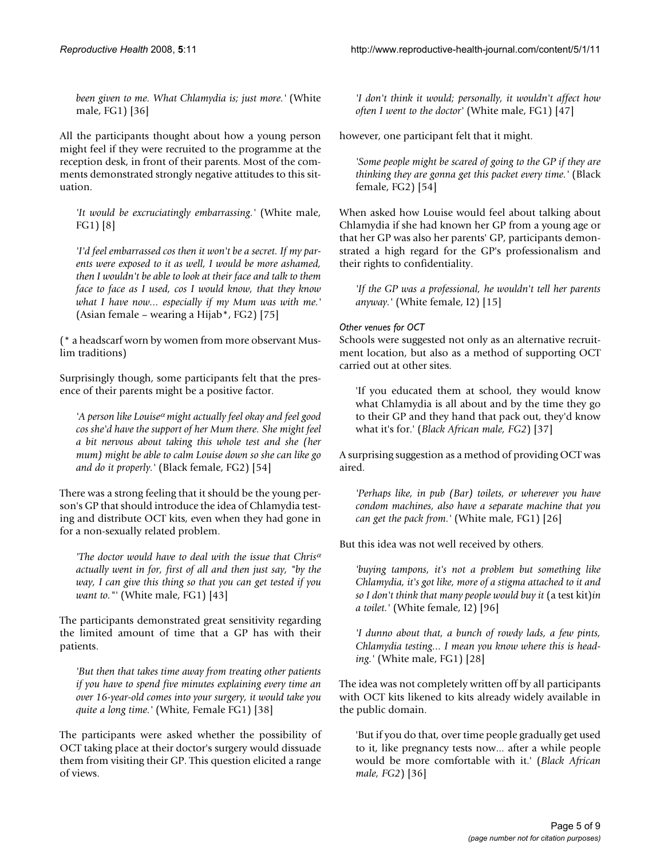*been given to me. What Chlamydia is; just more.'* (White male, FG1) [36]

All the participants thought about how a young person might feel if they were recruited to the programme at the reception desk, in front of their parents. Most of the comments demonstrated strongly negative attitudes to this situation.

*'It would be excruciatingly embarrassing.'* (White male, FG1) [8]

*'I'd feel embarrassed cos then it won't be a secret. If my parents were exposed to it as well, I would be more ashamed, then I wouldn't be able to look at their face and talk to them face to face as I used, cos I would know, that they know what I have now... especially if my Mum was with me.'* (Asian female – wearing a Hijab\*, FG2) [75]

(\* a headscarf worn by women from more observant Muslim traditions)

Surprisingly though, some participants felt that the presence of their parents might be a positive factor.

*'A person like Louise*<sup>α</sup> *might actually feel okay and feel good cos she'd have the support of her Mum there. She might feel a bit nervous about taking this whole test and she (her mum) might be able to calm Louise down so she can like go and do it properly.'* (Black female, FG2) [54]

There was a strong feeling that it should be the young person's GP that should introduce the idea of Chlamydia testing and distribute OCT kits, even when they had gone in for a non-sexually related problem.

*'The doctor would have to deal with the issue that Chris*<sup>α</sup> *actually went in for, first of all and then just say, "by the way, I can give this thing so that you can get tested if you want to.* "' (White male, FG1) [43]

The participants demonstrated great sensitivity regarding the limited amount of time that a GP has with their patients.

*'But then that takes time away from treating other patients if you have to spend five minutes explaining every time an over 16-year-old comes into your surgery, it would take you quite a long time.'* (White, Female FG1) [38]

The participants were asked whether the possibility of OCT taking place at their doctor's surgery would dissuade them from visiting their GP. This question elicited a range of views.

*'I don't think it would; personally, it wouldn't affect how often I went to the doctor'* (White male, FG1) [47]

however, one participant felt that it might.

*'Some people might be scared of going to the GP if they are thinking they are gonna get this packet every time.'* (Black female, FG2) [54]

When asked how Louise would feel about talking about Chlamydia if she had known her GP from a young age or that her GP was also her parents' GP, participants demonstrated a high regard for the GP's professionalism and their rights to confidentiality.

*'If the GP was a professional, he wouldn't tell her parents anyway.'* (White female, I2) [15]

# *Other venues for OCT*

Schools were suggested not only as an alternative recruitment location, but also as a method of supporting OCT carried out at other sites.

'If you educated them at school, they would know what Chlamydia is all about and by the time they go to their GP and they hand that pack out, they'd know what it's for.' (*Black African male, FG2*) [37]

A surprising suggestion as a method of providing OCT was aired.

*'Perhaps like, in pub (Bar) toilets, or wherever you have condom machines, also have a separate machine that you can get the pack from.' (White male, FG1)* [26]

But this idea was not well received by others.

*'buying tampons, it's not a problem but something like Chlamydia, it's got like, more of a stigma attached to it and so I don't think that many people would buy it* (a test kit)*in a toilet.'* (White female, I2) [96]

*'I dunno about that, a bunch of rowdy lads, a few pints, Chlamydia testing... I mean you know where this is heading.'* (White male, FG1) [28]

The idea was not completely written off by all participants with OCT kits likened to kits already widely available in the public domain.

'But if you do that, over time people gradually get used to it, like pregnancy tests now... after a while people would be more comfortable with it.' (*Black African male, FG2*) [36]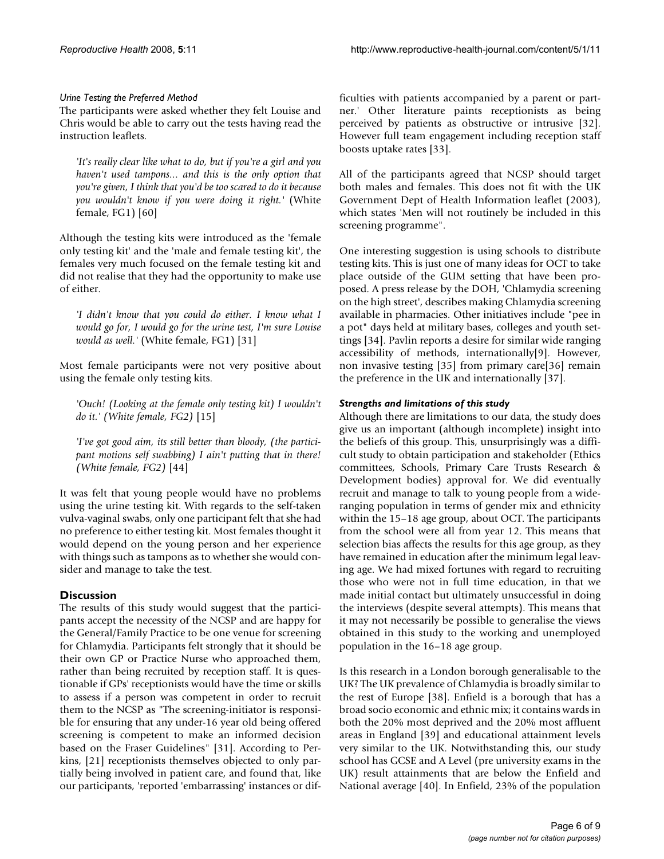## *Urine Testing the Preferred Method*

The participants were asked whether they felt Louise and Chris would be able to carry out the tests having read the instruction leaflets.

*'It's really clear like what to do, but if you're a girl and you haven't used tampons... and this is the only option that you're given, I think that you'd be too scared to do it because you wouldn't know if you were doing it right.'* (White female, FG1) [60]

Although the testing kits were introduced as the 'female only testing kit' and the 'male and female testing kit', the females very much focused on the female testing kit and did not realise that they had the opportunity to make use of either.

*'I didn't know that you could do either. I know what I would go for, I would go for the urine test, I'm sure Louise would as well.'* (White female, FG1) [31]

Most female participants were not very positive about using the female only testing kits.

*'Ouch! (Looking at the female only testing kit) I wouldn't do it.' (White female, FG2)* [15]

*'I've got good aim, its still better than bloody, (the participant motions self swabbing) I ain't putting that in there! (White female, FG2)* [44]

It was felt that young people would have no problems using the urine testing kit. With regards to the self-taken vulva-vaginal swabs, only one participant felt that she had no preference to either testing kit. Most females thought it would depend on the young person and her experience with things such as tampons as to whether she would consider and manage to take the test.

# **Discussion**

The results of this study would suggest that the participants accept the necessity of the NCSP and are happy for the General/Family Practice to be one venue for screening for Chlamydia. Participants felt strongly that it should be their own GP or Practice Nurse who approached them, rather than being recruited by reception staff. It is questionable if GPs' receptionists would have the time or skills to assess if a person was competent in order to recruit them to the NCSP as "The screening-initiator is responsible for ensuring that any under-16 year old being offered screening is competent to make an informed decision based on the Fraser Guidelines" [31]. According to Perkins, [21] receptionists themselves objected to only partially being involved in patient care, and found that, like our participants, 'reported 'embarrassing' instances or difficulties with patients accompanied by a parent or partner.' Other literature paints receptionists as being perceived by patients as obstructive or intrusive [32]. However full team engagement including reception staff boosts uptake rates [33].

All of the participants agreed that NCSP should target both males and females. This does not fit with the UK Government Dept of Health Information leaflet (2003), which states 'Men will not routinely be included in this screening programme".

One interesting suggestion is using schools to distribute testing kits. This is just one of many ideas for OCT to take place outside of the GUM setting that have been proposed. A press release by the DOH, 'Chlamydia screening on the high street', describes making Chlamydia screening available in pharmacies. Other initiatives include "pee in a pot" days held at military bases, colleges and youth settings [34]. Pavlin reports a desire for similar wide ranging accessibility of methods, internationally[9]. However, non invasive testing [35] from primary care[36] remain the preference in the UK and internationally [37].

## *Strengths and limitations of this study*

Although there are limitations to our data, the study does give us an important (although incomplete) insight into the beliefs of this group. This, unsurprisingly was a difficult study to obtain participation and stakeholder (Ethics committees, Schools, Primary Care Trusts Research & Development bodies) approval for. We did eventually recruit and manage to talk to young people from a wideranging population in terms of gender mix and ethnicity within the 15–18 age group, about OCT. The participants from the school were all from year 12. This means that selection bias affects the results for this age group, as they have remained in education after the minimum legal leaving age. We had mixed fortunes with regard to recruiting those who were not in full time education, in that we made initial contact but ultimately unsuccessful in doing the interviews (despite several attempts). This means that it may not necessarily be possible to generalise the views obtained in this study to the working and unemployed population in the 16–18 age group.

Is this research in a London borough generalisable to the UK? The UK prevalence of Chlamydia is broadly similar to the rest of Europe [38]. Enfield is a borough that has a broad socio economic and ethnic mix; it contains wards in both the 20% most deprived and the 20% most affluent areas in England [39] and educational attainment levels very similar to the UK. Notwithstanding this, our study school has GCSE and A Level (pre university exams in the UK) result attainments that are below the Enfield and National average [40]. In Enfield, 23% of the population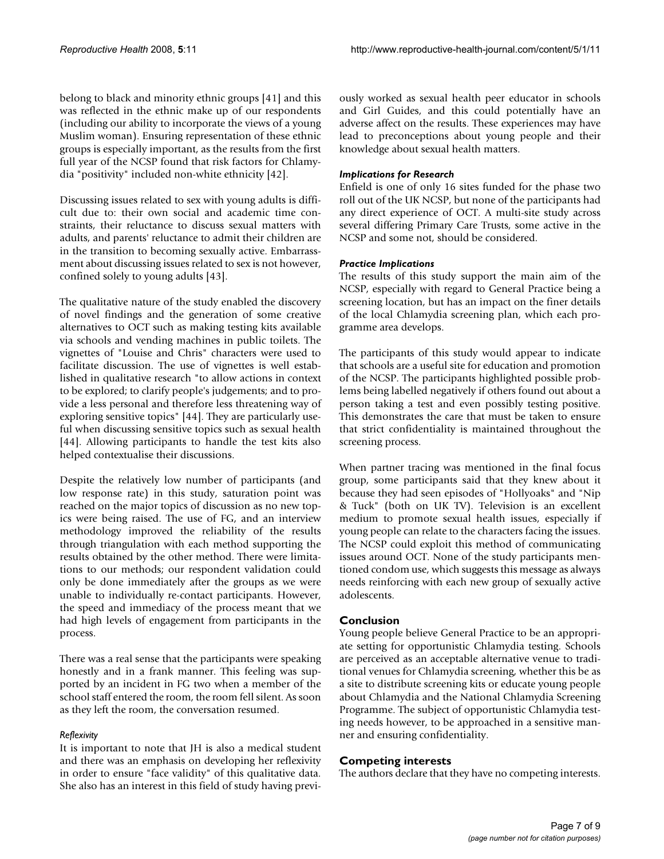belong to black and minority ethnic groups [41] and this was reflected in the ethnic make up of our respondents (including our ability to incorporate the views of a young Muslim woman). Ensuring representation of these ethnic groups is especially important, as the results from the first full year of the NCSP found that risk factors for Chlamydia "positivity" included non-white ethnicity [42].

Discussing issues related to sex with young adults is difficult due to: their own social and academic time constraints, their reluctance to discuss sexual matters with adults, and parents' reluctance to admit their children are in the transition to becoming sexually active. Embarrassment about discussing issues related to sex is not however, confined solely to young adults [43].

The qualitative nature of the study enabled the discovery of novel findings and the generation of some creative alternatives to OCT such as making testing kits available via schools and vending machines in public toilets. The vignettes of "Louise and Chris" characters were used to facilitate discussion. The use of vignettes is well established in qualitative research "to allow actions in context to be explored; to clarify people's judgements; and to provide a less personal and therefore less threatening way of exploring sensitive topics" [44]. They are particularly useful when discussing sensitive topics such as sexual health [44]. Allowing participants to handle the test kits also helped contextualise their discussions.

Despite the relatively low number of participants (and low response rate) in this study, saturation point was reached on the major topics of discussion as no new topics were being raised. The use of FG, and an interview methodology improved the reliability of the results through triangulation with each method supporting the results obtained by the other method. There were limitations to our methods; our respondent validation could only be done immediately after the groups as we were unable to individually re-contact participants. However, the speed and immediacy of the process meant that we had high levels of engagement from participants in the process.

There was a real sense that the participants were speaking honestly and in a frank manner. This feeling was supported by an incident in FG two when a member of the school staff entered the room, the room fell silent. As soon as they left the room, the conversation resumed.

# *Reflexivity*

It is important to note that JH is also a medical student and there was an emphasis on developing her reflexivity in order to ensure "face validity" of this qualitative data. She also has an interest in this field of study having previously worked as sexual health peer educator in schools and Girl Guides, and this could potentially have an adverse affect on the results. These experiences may have lead to preconceptions about young people and their knowledge about sexual health matters.

## *Implications for Research*

Enfield is one of only 16 sites funded for the phase two roll out of the UK NCSP, but none of the participants had any direct experience of OCT. A multi-site study across several differing Primary Care Trusts, some active in the NCSP and some not, should be considered.

## *Practice Implications*

The results of this study support the main aim of the NCSP, especially with regard to General Practice being a screening location, but has an impact on the finer details of the local Chlamydia screening plan, which each programme area develops.

The participants of this study would appear to indicate that schools are a useful site for education and promotion of the NCSP. The participants highlighted possible problems being labelled negatively if others found out about a person taking a test and even possibly testing positive. This demonstrates the care that must be taken to ensure that strict confidentiality is maintained throughout the screening process.

When partner tracing was mentioned in the final focus group, some participants said that they knew about it because they had seen episodes of "Hollyoaks" and "Nip & Tuck" (both on UK TV). Television is an excellent medium to promote sexual health issues, especially if young people can relate to the characters facing the issues. The NCSP could exploit this method of communicating issues around OCT. None of the study participants mentioned condom use, which suggests this message as always needs reinforcing with each new group of sexually active adolescents.

# **Conclusion**

Young people believe General Practice to be an appropriate setting for opportunistic Chlamydia testing. Schools are perceived as an acceptable alternative venue to traditional venues for Chlamydia screening, whether this be as a site to distribute screening kits or educate young people about Chlamydia and the National Chlamydia Screening Programme. The subject of opportunistic Chlamydia testing needs however, to be approached in a sensitive manner and ensuring confidentiality.

# **Competing interests**

The authors declare that they have no competing interests.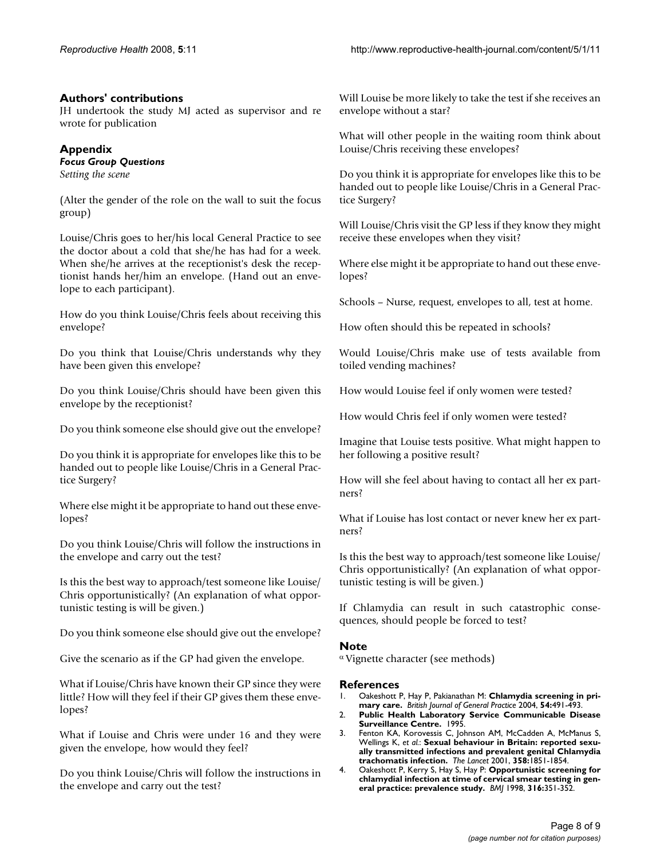# **Authors' contributions**

JH undertook the study MJ acted as supervisor and re wrote for publication

**Appendix** *Focus Group Questions Setting the scene*

(Alter the gender of the role on the wall to suit the focus group)

Louise/Chris goes to her/his local General Practice to see the doctor about a cold that she/he has had for a week. When she/he arrives at the receptionist's desk the receptionist hands her/him an envelope. (Hand out an envelope to each participant).

How do you think Louise/Chris feels about receiving this envelope?

Do you think that Louise/Chris understands why they have been given this envelope?

Do you think Louise/Chris should have been given this envelope by the receptionist?

Do you think someone else should give out the envelope?

Do you think it is appropriate for envelopes like this to be handed out to people like Louise/Chris in a General Practice Surgery?

Where else might it be appropriate to hand out these envelopes?

Do you think Louise/Chris will follow the instructions in the envelope and carry out the test?

Is this the best way to approach/test someone like Louise/ Chris opportunistically? (An explanation of what opportunistic testing is will be given.)

Do you think someone else should give out the envelope?

Give the scenario as if the GP had given the envelope.

What if Louise/Chris have known their GP since they were little? How will they feel if their GP gives them these envelopes?

What if Louise and Chris were under 16 and they were given the envelope, how would they feel?

Do you think Louise/Chris will follow the instructions in the envelope and carry out the test?

Will Louise be more likely to take the test if she receives an envelope without a star?

What will other people in the waiting room think about Louise/Chris receiving these envelopes?

Do you think it is appropriate for envelopes like this to be handed out to people like Louise/Chris in a General Practice Surgery?

Will Louise/Chris visit the GP less if they know they might receive these envelopes when they visit?

Where else might it be appropriate to hand out these envelopes?

Schools – Nurse, request, envelopes to all, test at home.

How often should this be repeated in schools?

Would Louise/Chris make use of tests available from toiled vending machines?

How would Louise feel if only women were tested?

How would Chris feel if only women were tested?

Imagine that Louise tests positive. What might happen to her following a positive result?

How will she feel about having to contact all her ex partners?

What if Louise has lost contact or never knew her ex partners?

Is this the best way to approach/test someone like Louise/ Chris opportunistically? (An explanation of what opportunistic testing is will be given.)

If Chlamydia can result in such catastrophic consequences, should people be forced to test?

## **Note**

<sup>α</sup> Vignette character (see methods)

#### **References**

- 1. Oakeshott P, Hay P, Pakianathan M: **[Chlamydia screening in pri](http://www.ncbi.nlm.nih.gov/entrez/query.fcgi?cmd=Retrieve&db=PubMed&dopt=Abstract&list_uids=15239908)[mary care.](http://www.ncbi.nlm.nih.gov/entrez/query.fcgi?cmd=Retrieve&db=PubMed&dopt=Abstract&list_uids=15239908)** *British Journal of General Practice* 2004, **54:**491-493.
- 2. **Public Health Laboratory Service Communicable Disease Surveillance Centre.** 1995.
- 3. Fenton KA, Korovessis C, Johnson AM, McCadden A, McManus S, Wellings K, *et al.*: **Sexual behaviour in Britain: reported sexually transmitted infections and prevalent genital Chlamydia trachomatis infection.** *The Lancet* 2001, **358:**1851-1854.
- 4. Oakeshott P, Kerry S, Hay S, Hay P: **[Opportunistic screening for](http://www.ncbi.nlm.nih.gov/entrez/query.fcgi?cmd=Retrieve&db=PubMed&dopt=Abstract&list_uids=9487170) [chlamydial infection at time of cervical smear testing in gen](http://www.ncbi.nlm.nih.gov/entrez/query.fcgi?cmd=Retrieve&db=PubMed&dopt=Abstract&list_uids=9487170)[eral practice: prevalence study.](http://www.ncbi.nlm.nih.gov/entrez/query.fcgi?cmd=Retrieve&db=PubMed&dopt=Abstract&list_uids=9487170)** *BMJ* 1998, **316:**351-352.